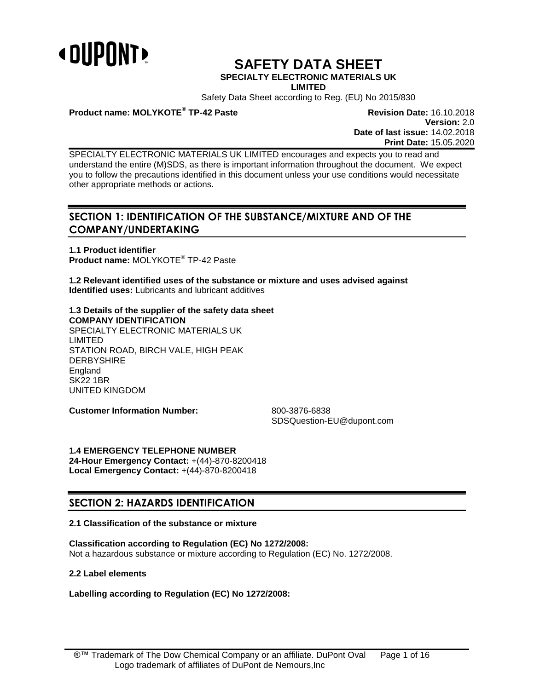

# **SAFETY DATA SHEET**

# **SPECIALTY ELECTRONIC MATERIALS UK**

**LIMITED**

Safety Data Sheet according to Reg. (EU) No 2015/830

# **Product name: MOLYKOTE®**

**Revision Date: 16.10.2018 Version:** 2.0 **Date of last issue:** 14.02.2018 **Print Date:** 15.05.2020

SPECIALTY ELECTRONIC MATERIALS UK LIMITED encourages and expects you to read and understand the entire (M)SDS, as there is important information throughout the document. We expect you to follow the precautions identified in this document unless your use conditions would necessitate other appropriate methods or actions.

# **SECTION 1: IDENTIFICATION OF THE SUBSTANCE/MIXTURE AND OF THE COMPANY/UNDERTAKING**

**1.1 Product identifier Product name:** MOLYKOTE® TP-42 Paste

**1.2 Relevant identified uses of the substance or mixture and uses advised against Identified uses:** Lubricants and lubricant additives

# **1.3 Details of the supplier of the safety data sheet COMPANY IDENTIFICATION**

SPECIALTY ELECTRONIC MATERIALS UK LIMITED STATION ROAD, BIRCH VALE, HIGH PEAK DERBYSHIRE **England** SK22 1BR UNITED KINGDOM

**Customer Information Number:** 800-3876-6838

SDSQuestion-EU@dupont.com

**1.4 EMERGENCY TELEPHONE NUMBER 24-Hour Emergency Contact:** +(44)-870-8200418 **Local Emergency Contact:** +(44)-870-8200418

# **SECTION 2: HAZARDS IDENTIFICATION**

# **2.1 Classification of the substance or mixture**

**Classification according to Regulation (EC) No 1272/2008:** Not a hazardous substance or mixture according to Regulation (EC) No. 1272/2008.

# **2.2 Label elements**

**Labelling according to Regulation (EC) No 1272/2008:**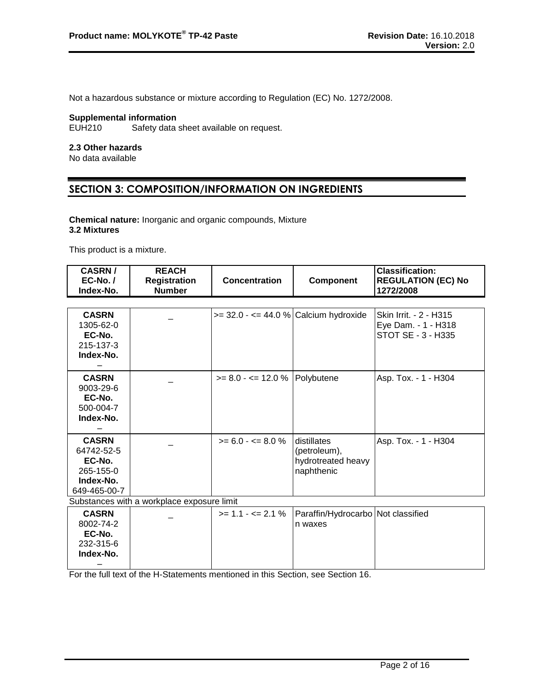Not a hazardous substance or mixture according to Regulation (EC) No. 1272/2008.

# **Supplemental information**<br>EUH210 Safety data

Safety data sheet available on request.

#### **2.3 Other hazards**

No data available

# **SECTION 3: COMPOSITION/INFORMATION ON INGREDIENTS**

#### **Chemical nature:** Inorganic and organic compounds, Mixture **3.2 Mixtures**

This product is a mixture.

| <b>CASRN/</b><br>EC-No./<br>Index-No.                                          | <b>REACH</b><br><b>Registration</b><br><b>Number</b> | <b>Concentration</b>                     | Component                                                       | <b>Classification:</b><br><b>REGULATION (EC) No</b><br>1272/2008    |
|--------------------------------------------------------------------------------|------------------------------------------------------|------------------------------------------|-----------------------------------------------------------------|---------------------------------------------------------------------|
|                                                                                |                                                      |                                          |                                                                 |                                                                     |
| <b>CASRN</b><br>1305-62-0<br>EC-No.<br>215-137-3<br>Index-No.                  |                                                      | $>= 32.0 - \le 44.0$ % Calcium hydroxide |                                                                 | Skin Irrit. - 2 - H315<br>Eye Dam. - 1 - H318<br>STOT SE - 3 - H335 |
| <b>CASRN</b><br>$9003 - 29 - 6$<br>EC-No.<br>500-004-7<br>Index-No.            |                                                      | $>= 8.0 - 12.0 %$ Polybutene             |                                                                 | Asp. Tox. - 1 - H304                                                |
| <b>CASRN</b><br>64742-52-5<br>EC-No.<br>265-155-0<br>Index-No.<br>649-465-00-7 |                                                      | $>= 6.0 - \le 8.0 \%$                    | distillates<br>(petroleum),<br>hydrotreated heavy<br>naphthenic | Asp. Tox. - 1 - H304                                                |
|                                                                                | Substances with a workplace exposure limit           |                                          |                                                                 |                                                                     |
| <b>CASRN</b><br>8002-74-2<br>EC-No.<br>232-315-6<br>Index-No.                  |                                                      | $>= 1.1 - \le 2.1 \%$                    | Paraffin/Hydrocarbo Not classified<br>n waxes                   |                                                                     |

For the full text of the H-Statements mentioned in this Section, see Section 16.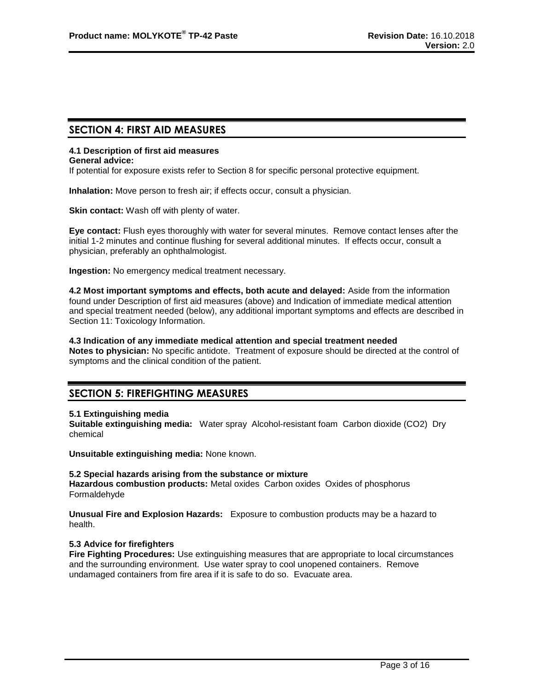# **SECTION 4: FIRST AID MEASURES**

# **4.1 Description of first aid measures**

#### **General advice:**

If potential for exposure exists refer to Section 8 for specific personal protective equipment.

**Inhalation:** Move person to fresh air; if effects occur, consult a physician.

**Skin contact:** Wash off with plenty of water.

**Eye contact:** Flush eyes thoroughly with water for several minutes. Remove contact lenses after the initial 1-2 minutes and continue flushing for several additional minutes. If effects occur, consult a physician, preferably an ophthalmologist.

**Ingestion:** No emergency medical treatment necessary.

**4.2 Most important symptoms and effects, both acute and delayed:** Aside from the information found under Description of first aid measures (above) and Indication of immediate medical attention and special treatment needed (below), any additional important symptoms and effects are described in Section 11: Toxicology Information.

**4.3 Indication of any immediate medical attention and special treatment needed Notes to physician:** No specific antidote. Treatment of exposure should be directed at the control of

symptoms and the clinical condition of the patient.

# **SECTION 5: FIREFIGHTING MEASURES**

# **5.1 Extinguishing media**

**Suitable extinguishing media:** Water spray Alcohol-resistant foam Carbon dioxide (CO2) Dry chemical

**Unsuitable extinguishing media:** None known.

# **5.2 Special hazards arising from the substance or mixture**

**Hazardous combustion products:** Metal oxides Carbon oxides Oxides of phosphorus Formaldehyde

**Unusual Fire and Explosion Hazards:** Exposure to combustion products may be a hazard to health.

# **5.3 Advice for firefighters**

**Fire Fighting Procedures:** Use extinguishing measures that are appropriate to local circumstances and the surrounding environment. Use water spray to cool unopened containers. Remove undamaged containers from fire area if it is safe to do so. Evacuate area.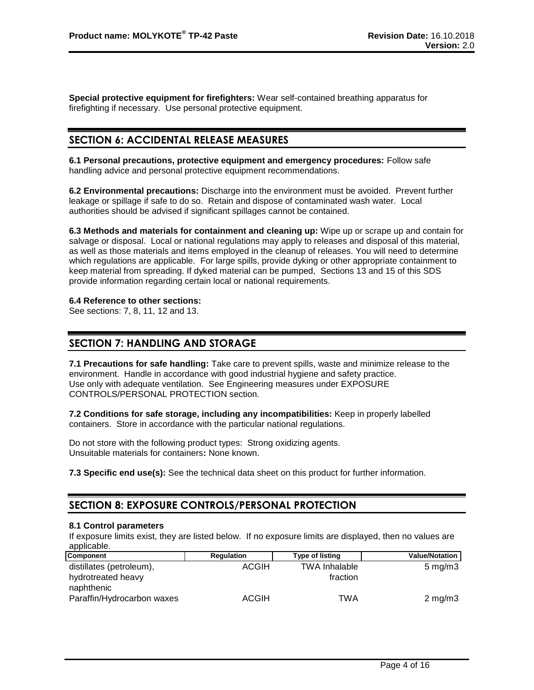**Special protective equipment for firefighters:** Wear self-contained breathing apparatus for firefighting if necessary. Use personal protective equipment.

# **SECTION 6: ACCIDENTAL RELEASE MEASURES**

**6.1 Personal precautions, protective equipment and emergency procedures:** Follow safe handling advice and personal protective equipment recommendations.

**6.2 Environmental precautions:** Discharge into the environment must be avoided. Prevent further leakage or spillage if safe to do so. Retain and dispose of contaminated wash water. Local authorities should be advised if significant spillages cannot be contained.

**6.3 Methods and materials for containment and cleaning up:** Wipe up or scrape up and contain for salvage or disposal. Local or national regulations may apply to releases and disposal of this material, as well as those materials and items employed in the cleanup of releases. You will need to determine which regulations are applicable. For large spills, provide dyking or other appropriate containment to keep material from spreading. If dyked material can be pumped, Sections 13 and 15 of this SDS provide information regarding certain local or national requirements.

#### **6.4 Reference to other sections:**

See sections: 7, 8, 11, 12 and 13.

# **SECTION 7: HANDLING AND STORAGE**

**7.1 Precautions for safe handling:** Take care to prevent spills, waste and minimize release to the environment. Handle in accordance with good industrial hygiene and safety practice. Use only with adequate ventilation. See Engineering measures under EXPOSURE CONTROLS/PERSONAL PROTECTION section.

**7.2 Conditions for safe storage, including any incompatibilities:** Keep in properly labelled containers. Store in accordance with the particular national regulations.

Do not store with the following product types: Strong oxidizing agents. Unsuitable materials for containers**:** None known.

**7.3 Specific end use(s):** See the technical data sheet on this product for further information.

# **SECTION 8: EXPOSURE CONTROLS/PERSONAL PROTECTION**

#### **8.1 Control parameters**

If exposure limits exist, they are listed below. If no exposure limits are displayed, then no values are applicable.

| <b>Component</b>           | Regulation   | <b>Type of listing</b> | <b>Value/Notation</b> |
|----------------------------|--------------|------------------------|-----------------------|
| distillates (petroleum),   | <b>ACGIH</b> | <b>TWA Inhalable</b>   | $5 \,\mathrm{mg/m}$   |
| hydrotreated heavy         |              | fraction               |                       |
| naphthenic                 |              |                        |                       |
| Paraffin/Hydrocarbon waxes | <b>ACGIH</b> | TWA                    | $2 \text{ mg/m}$      |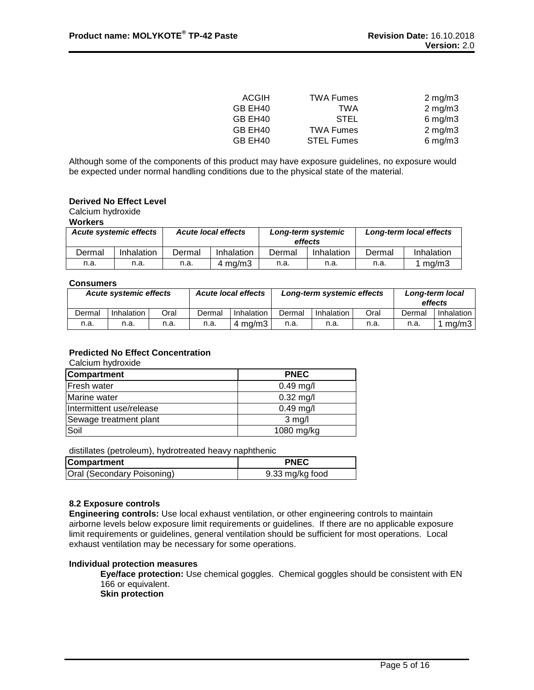| ACGIH               | <b>TWA Fumes</b>  | $2 \text{ mg/m}$    |
|---------------------|-------------------|---------------------|
| GB EH40             | <b>TWA</b>        | $2 \text{ mg/m}$    |
| GB EH <sub>40</sub> | <b>STEL</b>       | $6 \text{ mg/m}$ 3  |
| GB EH40             | <b>TWA Fumes</b>  | $2 \text{ mg/m}$    |
| GB EH40             | <b>STEL Fumes</b> | $6 \,\mathrm{mg/m}$ |

Although some of the components of this product may have exposure guidelines, no exposure would be expected under normal handling conditions due to the physical state of the material.

# **Derived No Effect Level**

Calcium hydroxide

# **Workers**

| ---------                     |            |        |                            |                               |            |                         |            |
|-------------------------------|------------|--------|----------------------------|-------------------------------|------------|-------------------------|------------|
| <b>Acute systemic effects</b> |            |        | <b>Acute local effects</b> | Long-term systemic<br>effects |            | Long-term local effects |            |
| Dermal                        | Inhalation | Dermal | Inhalation                 | Dermal                        | Inhalation | Dermal                  | Inhalation |
| n.a.                          | n.a.       | n.a.   | $4 \text{ ma/m}$ 3         | n.a.                          | n.a.       | n.a.                    | 1 mg/m3    |

#### **Consumers**

| <b>Acute systemic effects</b> |            |      | <b>Acute local effects</b> | Long-term systemic effects |        |            | Long-term local<br>effects |        |            |
|-------------------------------|------------|------|----------------------------|----------------------------|--------|------------|----------------------------|--------|------------|
| Dermal                        | Inhalation | Oral | Dermal                     | Inhalation                 | Dermal | Inhalation | Oral                       | Dermal | Inhalation |
| n.a.                          | n.a.       | n.a. | n.a.                       | ma/m3 ·                    | n.a.   | n.a.       | n.a.                       | n.a.   | ma/m3      |

# **Predicted No Effect Concentration**

Calcium hydroxide

| <b>Compartment</b>       | <b>PNEC</b> |
|--------------------------|-------------|
| <b>Fresh water</b>       | $0.49$ mg/l |
| Marine water             | $0.32$ mg/l |
| Intermittent use/release | $0.49$ mg/l |
| Sewage treatment plant   | $3$ mg/l    |
| Soil                     | 1080 mg/kg  |

distillates (petroleum), hydrotreated heavy naphthenic

| <b>Compartment</b>         | <b>PNEC</b>     |
|----------------------------|-----------------|
| Oral (Secondary Poisoning) | 9.33 mg/kg food |

# **8.2 Exposure controls**

**Engineering controls:** Use local exhaust ventilation, or other engineering controls to maintain airborne levels below exposure limit requirements or guidelines. If there are no applicable exposure limit requirements or guidelines, general ventilation should be sufficient for most operations. Local exhaust ventilation may be necessary for some operations.

# **Individual protection measures**

**Eye/face protection:** Use chemical goggles. Chemical goggles should be consistent with EN 166 or equivalent.

**Skin protection**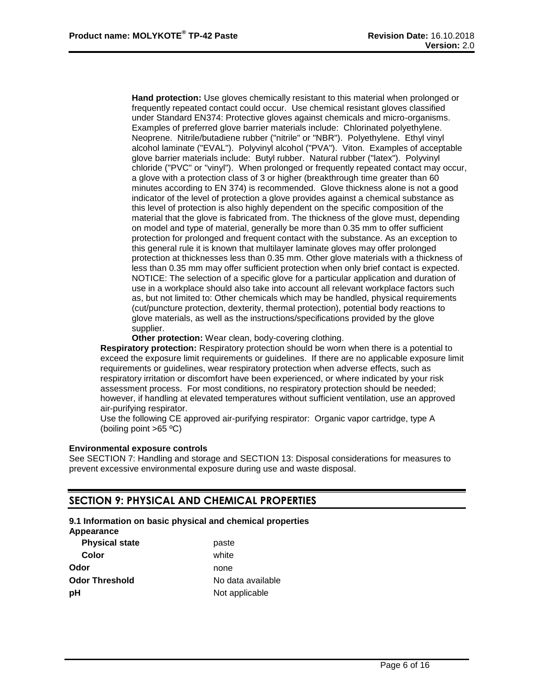**Hand protection:** Use gloves chemically resistant to this material when prolonged or frequently repeated contact could occur. Use chemical resistant gloves classified under Standard EN374: Protective gloves against chemicals and micro-organisms. Examples of preferred glove barrier materials include: Chlorinated polyethylene. Neoprene. Nitrile/butadiene rubber ("nitrile" or "NBR"). Polyethylene. Ethyl vinyl alcohol laminate ("EVAL"). Polyvinyl alcohol ("PVA"). Viton. Examples of acceptable glove barrier materials include: Butyl rubber. Natural rubber ("latex"). Polyvinyl chloride ("PVC" or "vinyl"). When prolonged or frequently repeated contact may occur, a glove with a protection class of 3 or higher (breakthrough time greater than 60 minutes according to EN 374) is recommended. Glove thickness alone is not a good indicator of the level of protection a glove provides against a chemical substance as this level of protection is also highly dependent on the specific composition of the material that the glove is fabricated from. The thickness of the glove must, depending on model and type of material, generally be more than 0.35 mm to offer sufficient protection for prolonged and frequent contact with the substance. As an exception to this general rule it is known that multilayer laminate gloves may offer prolonged protection at thicknesses less than 0.35 mm. Other glove materials with a thickness of less than 0.35 mm may offer sufficient protection when only brief contact is expected. NOTICE: The selection of a specific glove for a particular application and duration of use in a workplace should also take into account all relevant workplace factors such as, but not limited to: Other chemicals which may be handled, physical requirements (cut/puncture protection, dexterity, thermal protection), potential body reactions to glove materials, as well as the instructions/specifications provided by the glove supplier.

**Other protection:** Wear clean, body-covering clothing.

**Respiratory protection:** Respiratory protection should be worn when there is a potential to exceed the exposure limit requirements or guidelines. If there are no applicable exposure limit requirements or guidelines, wear respiratory protection when adverse effects, such as respiratory irritation or discomfort have been experienced, or where indicated by your risk assessment process. For most conditions, no respiratory protection should be needed; however, if handling at elevated temperatures without sufficient ventilation, use an approved air-purifying respirator.

Use the following CE approved air-purifying respirator: Organic vapor cartridge, type A (boiling point >65 ºC)

#### **Environmental exposure controls**

See SECTION 7: Handling and storage and SECTION 13: Disposal considerations for measures to prevent excessive environmental exposure during use and waste disposal.

# **SECTION 9: PHYSICAL AND CHEMICAL PROPERTIES**

# **9.1 Information on basic physical and chemical properties**

**Appearance**

| <b>Physical state</b> | paste             |  |  |
|-----------------------|-------------------|--|--|
| Color                 | white             |  |  |
| Odor                  | none              |  |  |
| Odor Threshold        | No data available |  |  |
| рH                    | Not applicable    |  |  |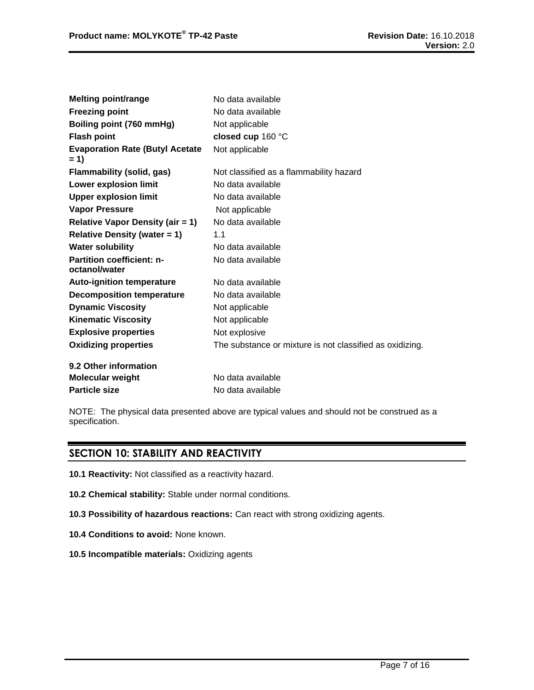| <b>Melting point/range</b>                        | No data available                                        |
|---------------------------------------------------|----------------------------------------------------------|
| <b>Freezing point</b>                             | No data available                                        |
| Boiling point (760 mmHg)                          | Not applicable                                           |
| <b>Flash point</b>                                | closed cup 160 °C                                        |
| <b>Evaporation Rate (Butyl Acetate</b><br>$= 1$   | Not applicable                                           |
| <b>Flammability (solid, gas)</b>                  | Not classified as a flammability hazard                  |
| Lower explosion limit                             | No data available                                        |
| <b>Upper explosion limit</b>                      | No data available                                        |
| <b>Vapor Pressure</b>                             | Not applicable                                           |
| <b>Relative Vapor Density (air = 1)</b>           | No data available                                        |
| <b>Relative Density (water = 1)</b>               | 1.1                                                      |
| <b>Water solubility</b>                           | No data available                                        |
| <b>Partition coefficient: n-</b><br>octanol/water | No data available                                        |
| <b>Auto-ignition temperature</b>                  | No data available                                        |
| <b>Decomposition temperature</b>                  | No data available                                        |
| <b>Dynamic Viscosity</b>                          | Not applicable                                           |
| <b>Kinematic Viscosity</b>                        | Not applicable                                           |
| <b>Explosive properties</b>                       | Not explosive                                            |
| <b>Oxidizing properties</b>                       | The substance or mixture is not classified as oxidizing. |
| 9.2 Other information                             |                                                          |
| <b>Molecular weight</b>                           | No data available                                        |
| <b>Particle size</b>                              | No data available                                        |

NOTE: The physical data presented above are typical values and should not be construed as a specification.

# **SECTION 10: STABILITY AND REACTIVITY**

- **10.1 Reactivity:** Not classified as a reactivity hazard.
- **10.2 Chemical stability:** Stable under normal conditions.
- **10.3 Possibility of hazardous reactions:** Can react with strong oxidizing agents.
- **10.4 Conditions to avoid:** None known.
- **10.5 Incompatible materials:** Oxidizing agents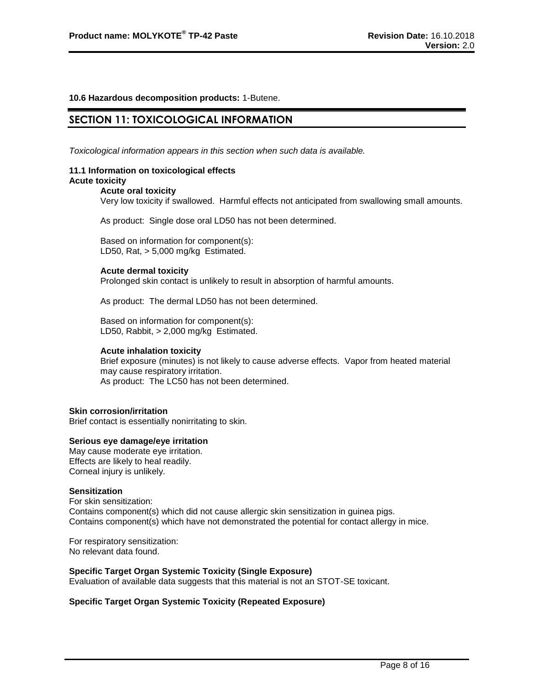# **10.6 Hazardous decomposition products:** 1-Butene.

# **SECTION 11: TOXICOLOGICAL INFORMATION**

*Toxicological information appears in this section when such data is available.*

#### **11.1 Information on toxicological effects Acute toxicity**

#### **Acute oral toxicity**

Very low toxicity if swallowed. Harmful effects not anticipated from swallowing small amounts.

As product: Single dose oral LD50 has not been determined.

Based on information for component(s): LD50, Rat, > 5,000 mg/kg Estimated.

#### **Acute dermal toxicity**

Prolonged skin contact is unlikely to result in absorption of harmful amounts.

As product: The dermal LD50 has not been determined.

Based on information for component(s): LD50, Rabbit, > 2,000 mg/kg Estimated.

#### **Acute inhalation toxicity**

Brief exposure (minutes) is not likely to cause adverse effects. Vapor from heated material may cause respiratory irritation. As product: The LC50 has not been determined.

#### **Skin corrosion/irritation**

Brief contact is essentially nonirritating to skin.

#### **Serious eye damage/eye irritation**

May cause moderate eye irritation. Effects are likely to heal readily. Corneal injury is unlikely.

#### **Sensitization**

For skin sensitization: Contains component(s) which did not cause allergic skin sensitization in guinea pigs. Contains component(s) which have not demonstrated the potential for contact allergy in mice.

For respiratory sensitization: No relevant data found.

# **Specific Target Organ Systemic Toxicity (Single Exposure)**

Evaluation of available data suggests that this material is not an STOT-SE toxicant.

# **Specific Target Organ Systemic Toxicity (Repeated Exposure)**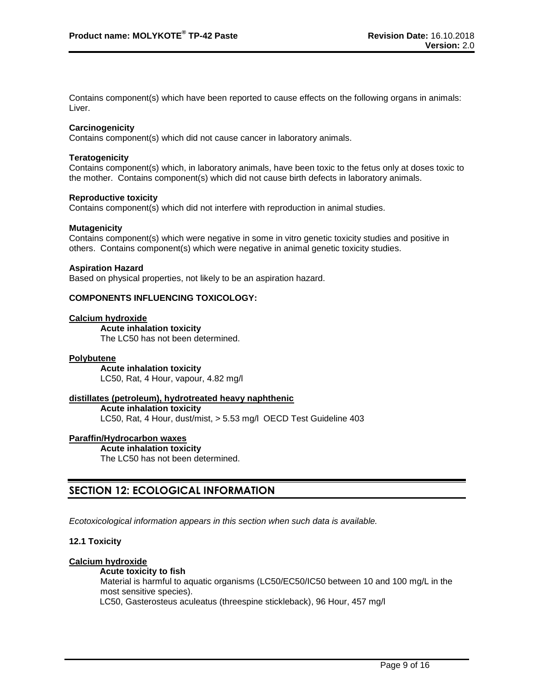Contains component(s) which have been reported to cause effects on the following organs in animals: Liver.

# **Carcinogenicity**

Contains component(s) which did not cause cancer in laboratory animals.

#### **Teratogenicity**

Contains component(s) which, in laboratory animals, have been toxic to the fetus only at doses toxic to the mother. Contains component(s) which did not cause birth defects in laboratory animals.

#### **Reproductive toxicity**

Contains component(s) which did not interfere with reproduction in animal studies.

#### **Mutagenicity**

Contains component(s) which were negative in some in vitro genetic toxicity studies and positive in others. Contains component(s) which were negative in animal genetic toxicity studies.

#### **Aspiration Hazard**

Based on physical properties, not likely to be an aspiration hazard.

# **COMPONENTS INFLUENCING TOXICOLOGY:**

#### **Calcium hydroxide**

**Acute inhalation toxicity** The LC50 has not been determined.

#### **Polybutene**

**Acute inhalation toxicity** LC50, Rat, 4 Hour, vapour, 4.82 mg/l

# **distillates (petroleum), hydrotreated heavy naphthenic**

**Acute inhalation toxicity** LC50, Rat, 4 Hour, dust/mist, > 5.53 mg/l OECD Test Guideline 403

#### **Paraffin/Hydrocarbon waxes**

**Acute inhalation toxicity** The LC50 has not been determined.

# **SECTION 12: ECOLOGICAL INFORMATION**

*Ecotoxicological information appears in this section when such data is available.*

# **12.1 Toxicity**

# **Calcium hydroxide**

#### **Acute toxicity to fish**

Material is harmful to aquatic organisms (LC50/EC50/IC50 between 10 and 100 mg/L in the most sensitive species).

LC50, Gasterosteus aculeatus (threespine stickleback), 96 Hour, 457 mg/l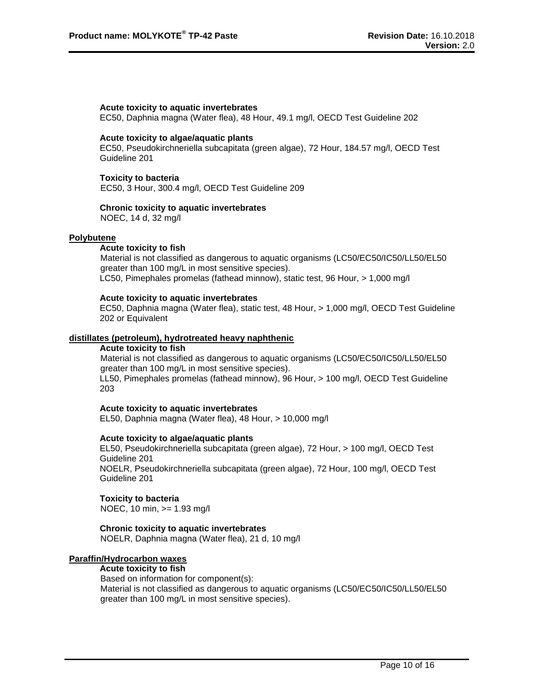#### **Acute toxicity to aquatic invertebrates**

EC50, Daphnia magna (Water flea), 48 Hour, 49.1 mg/l, OECD Test Guideline 202

#### **Acute toxicity to algae/aquatic plants**

EC50, Pseudokirchneriella subcapitata (green algae), 72 Hour, 184.57 mg/l, OECD Test Guideline 201

#### **Toxicity to bacteria**

EC50, 3 Hour, 300.4 mg/l, OECD Test Guideline 209

#### **Chronic toxicity to aquatic invertebrates**

NOEC, 14 d, 32 mg/l

#### **Polybutene**

#### **Acute toxicity to fish**

Material is not classified as dangerous to aquatic organisms (LC50/EC50/IC50/LL50/EL50 greater than 100 mg/L in most sensitive species). LC50, Pimephales promelas (fathead minnow), static test, 96 Hour, > 1,000 mg/l

#### **Acute toxicity to aquatic invertebrates**

EC50, Daphnia magna (Water flea), static test, 48 Hour, > 1,000 mg/l, OECD Test Guideline 202 or Equivalent

#### **distillates (petroleum), hydrotreated heavy naphthenic**

#### **Acute toxicity to fish**

Material is not classified as dangerous to aquatic organisms (LC50/EC50/IC50/LL50/EL50 greater than 100 mg/L in most sensitive species).

LL50, Pimephales promelas (fathead minnow), 96 Hour, > 100 mg/l, OECD Test Guideline 203

#### **Acute toxicity to aquatic invertebrates**

EL50, Daphnia magna (Water flea), 48 Hour, > 10,000 mg/l

#### **Acute toxicity to algae/aquatic plants**

EL50, Pseudokirchneriella subcapitata (green algae), 72 Hour, > 100 mg/l, OECD Test Guideline 201 NOELR, Pseudokirchneriella subcapitata (green algae), 72 Hour, 100 mg/l, OECD Test Guideline 201

#### **Toxicity to bacteria**

NOEC, 10 min, >= 1.93 mg/l

# **Chronic toxicity to aquatic invertebrates**

NOELR, Daphnia magna (Water flea), 21 d, 10 mg/l

# **Paraffin/Hydrocarbon waxes**

**Acute toxicity to fish** Based on information for component(s): Material is not classified as dangerous to aquatic organisms (LC50/EC50/IC50/LL50/EL50 greater than 100 mg/L in most sensitive species).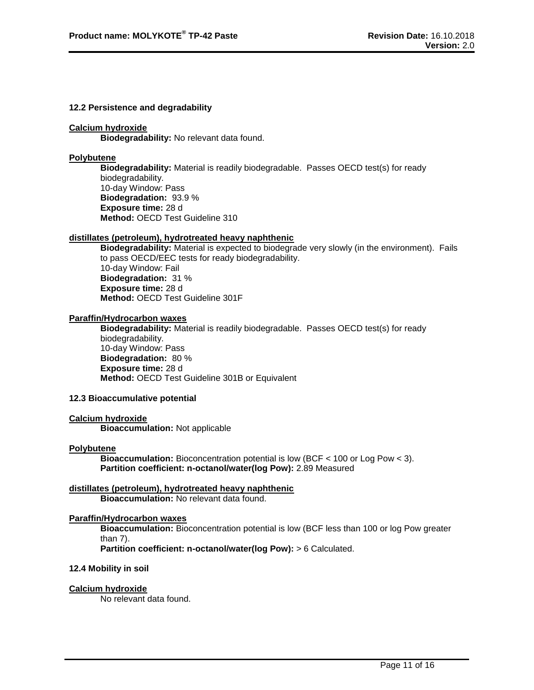#### **12.2 Persistence and degradability**

#### **Calcium hydroxide**

**Biodegradability:** No relevant data found.

# **Polybutene**

**Biodegradability:** Material is readily biodegradable. Passes OECD test(s) for ready biodegradability. 10-day Window: Pass **Biodegradation:** 93.9 % **Exposure time:** 28 d **Method:** OECD Test Guideline 310

#### **distillates (petroleum), hydrotreated heavy naphthenic**

**Biodegradability:** Material is expected to biodegrade very slowly (in the environment). Fails to pass OECD/EEC tests for ready biodegradability. 10-day Window: Fail **Biodegradation:** 31 % **Exposure time:** 28 d **Method:** OECD Test Guideline 301F

# **Paraffin/Hydrocarbon waxes**

**Biodegradability:** Material is readily biodegradable. Passes OECD test(s) for ready biodegradability. 10-day Window: Pass **Biodegradation:** 80 % **Exposure time:** 28 d **Method:** OECD Test Guideline 301B or Equivalent

#### **12.3 Bioaccumulative potential**

#### **Calcium hydroxide**

**Bioaccumulation:** Not applicable

#### **Polybutene**

**Bioaccumulation:** Bioconcentration potential is low (BCF < 100 or Log Pow < 3). **Partition coefficient: n-octanol/water(log Pow):** 2.89 Measured

#### **distillates (petroleum), hydrotreated heavy naphthenic Bioaccumulation:** No relevant data found.

# **Paraffin/Hydrocarbon waxes**

**Bioaccumulation:** Bioconcentration potential is low (BCF less than 100 or log Pow greater than 7).

**Partition coefficient: n-octanol/water(log Pow):** > 6 Calculated.

# **12.4 Mobility in soil**

# **Calcium hydroxide**

No relevant data found.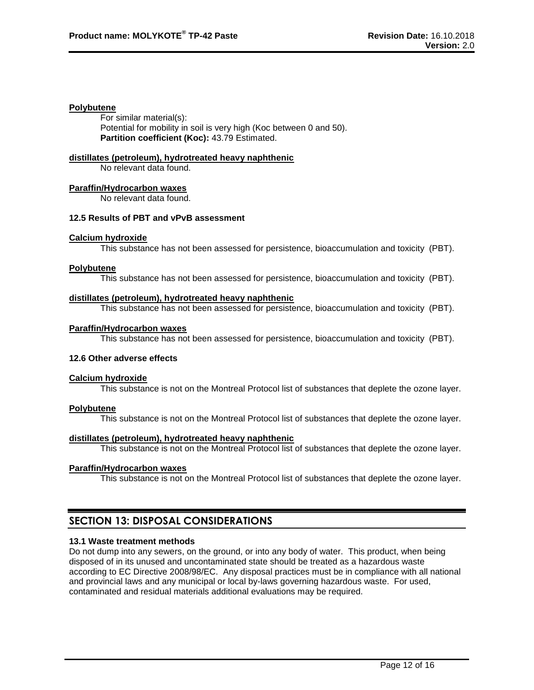#### **Polybutene**

For similar material(s): Potential for mobility in soil is very high (Koc between 0 and 50). **Partition coefficient (Koc):** 43.79 Estimated.

# **distillates (petroleum), hydrotreated heavy naphthenic**

No relevant data found.

#### **Paraffin/Hydrocarbon waxes**

No relevant data found.

# **12.5 Results of PBT and vPvB assessment**

#### **Calcium hydroxide**

This substance has not been assessed for persistence, bioaccumulation and toxicity (PBT).

#### **Polybutene**

This substance has not been assessed for persistence, bioaccumulation and toxicity (PBT).

#### **distillates (petroleum), hydrotreated heavy naphthenic**

This substance has not been assessed for persistence, bioaccumulation and toxicity (PBT).

#### **Paraffin/Hydrocarbon waxes**

This substance has not been assessed for persistence, bioaccumulation and toxicity (PBT).

# **12.6 Other adverse effects**

# **Calcium hydroxide**

This substance is not on the Montreal Protocol list of substances that deplete the ozone layer.

# **Polybutene**

This substance is not on the Montreal Protocol list of substances that deplete the ozone layer.

# **distillates (petroleum), hydrotreated heavy naphthenic**

This substance is not on the Montreal Protocol list of substances that deplete the ozone layer.

#### **Paraffin/Hydrocarbon waxes**

This substance is not on the Montreal Protocol list of substances that deplete the ozone layer.

# **SECTION 13: DISPOSAL CONSIDERATIONS**

# **13.1 Waste treatment methods**

Do not dump into any sewers, on the ground, or into any body of water. This product, when being disposed of in its unused and uncontaminated state should be treated as a hazardous waste according to EC Directive 2008/98/EC. Any disposal practices must be in compliance with all national and provincial laws and any municipal or local by-laws governing hazardous waste. For used, contaminated and residual materials additional evaluations may be required.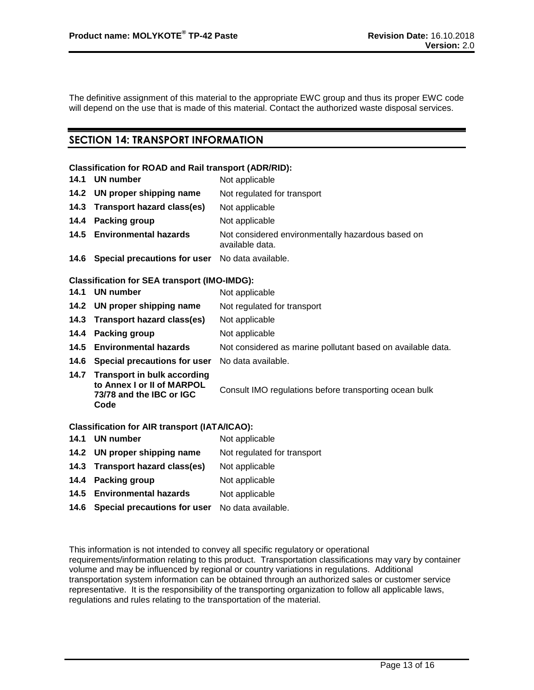The definitive assignment of this material to the appropriate EWC group and thus its proper EWC code will depend on the use that is made of this material. Contact the authorized waste disposal services.

# **SECTION 14: TRANSPORT INFORMATION**

#### **Classification for ROAD and Rail transport (ADR/RID):**

- **14.1 UN number** Not applicable **14.2 UN proper shipping name** Not regulated for transport **14.3 Transport hazard class(es)** Not applicable **14.4 Packing group** Not applicable **14.5 Environmental hazards** Not considered environmentally hazardous based on available data.
- **14.6 Special precautions for user** No data available.

# **Classification for SEA transport (IMO-IMDG):**

|      | 14.1 UN number                                                                                       | Not applicable                                              |
|------|------------------------------------------------------------------------------------------------------|-------------------------------------------------------------|
|      | 14.2 UN proper shipping name                                                                         | Not regulated for transport                                 |
|      | 14.3 Transport hazard class(es)                                                                      | Not applicable                                              |
|      | 14.4 Packing group                                                                                   | Not applicable                                              |
|      | 14.5 Environmental hazards                                                                           | Not considered as marine pollutant based on available data. |
|      | 14.6 Special precautions for user                                                                    | No data available.                                          |
| 14.7 | <b>Transport in bulk according</b><br>to Annex I or II of MARPOL<br>73/78 and the IBC or IGC<br>Code | Consult IMO regulations before transporting ocean bulk      |
|      | <b>Classification for AIR transport (IATA/ICAO):</b>                                                 |                                                             |

| 14.1 UN number                    | Not applicable              |
|-----------------------------------|-----------------------------|
| 14.2 UN proper shipping name      | Not regulated for transport |
| 14.3 Transport hazard class(es)   | Not applicable              |
| 14.4 Packing group                | Not applicable              |
| 14.5 Environmental hazards        | Not applicable              |
| 14.6 Special precautions for user | No data available.          |
|                                   |                             |

This information is not intended to convey all specific regulatory or operational requirements/information relating to this product. Transportation classifications may vary by container volume and may be influenced by regional or country variations in regulations. Additional transportation system information can be obtained through an authorized sales or customer service representative. It is the responsibility of the transporting organization to follow all applicable laws, regulations and rules relating to the transportation of the material.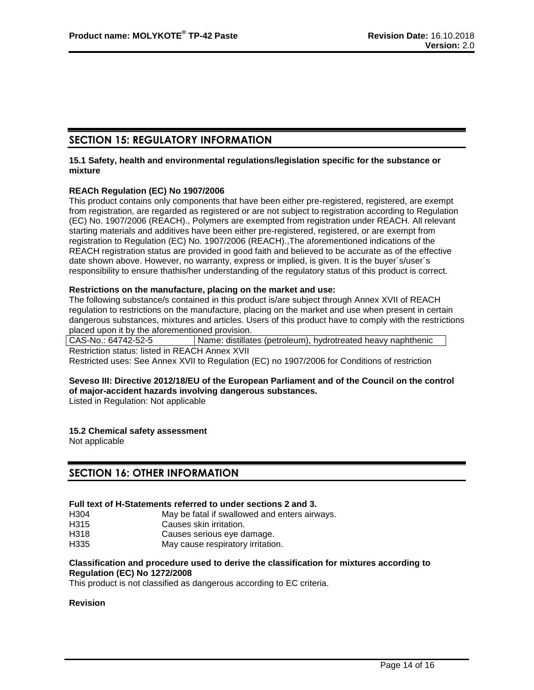# **SECTION 15: REGULATORY INFORMATION**

#### **15.1 Safety, health and environmental regulations/legislation specific for the substance or mixture**

# **REACh Regulation (EC) No 1907/2006**

This product contains only components that have been either pre-registered, registered, are exempt from registration, are regarded as registered or are not subject to registration according to Regulation (EC) No. 1907/2006 (REACH)., Polymers are exempted from registration under REACH. All relevant starting materials and additives have been either pre-registered, registered, or are exempt from registration to Regulation (EC) No. 1907/2006 (REACH).,The aforementioned indications of the REACH registration status are provided in good faith and believed to be accurate as of the effective date shown above. However, no warranty, express or implied, is given. It is the buyer´s/user´s responsibility to ensure thathis/her understanding of the regulatory status of this product is correct.

#### **Restrictions on the manufacture, placing on the market and use:**

The following substance/s contained in this product is/are subject through Annex XVII of REACH regulation to restrictions on the manufacture, placing on the market and use when present in certain dangerous substances, mixtures and articles. Users of this product have to comply with the restrictions placed upon it by the aforementioned provision.

CAS-No.: 64742-52-5 | Name: distillates (petroleum), hydrotreated heavy naphthenic Restriction status: listed in REACH Annex XVII Restricted uses: See Annex XVII to Regulation (EC) no 1907/2006 for Conditions of restriction

# **Seveso III: Directive 2012/18/EU of the European Parliament and of the Council on the control of major-accident hazards involving dangerous substances.**

Listed in Regulation: Not applicable

# **15.2 Chemical safety assessment**

Not applicable

# **SECTION 16: OTHER INFORMATION**

#### **Full text of H-Statements referred to under sections 2 and 3.**

H304 May be fatal if swallowed and enters airways.

H315 Causes skin irritation.

- H318 Causes serious eye damage.
- H335 May cause respiratory irritation.

#### **Classification and procedure used to derive the classification for mixtures according to Regulation (EC) No 1272/2008**

This product is not classified as dangerous according to EC criteria.

#### **Revision**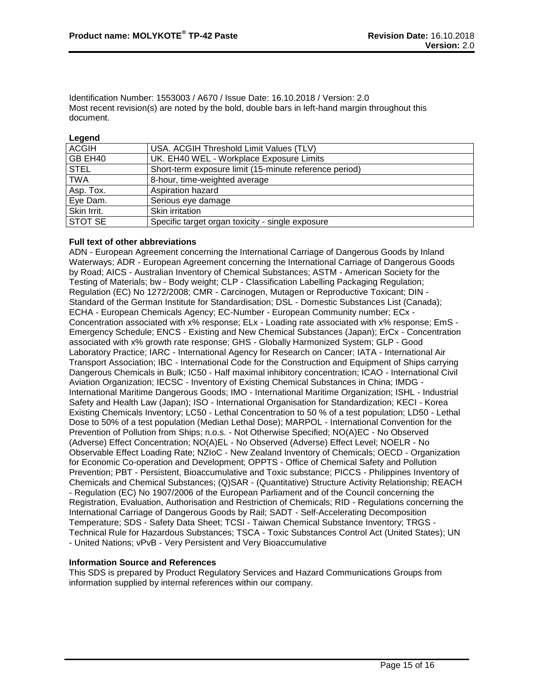Identification Number: 1553003 / A670 / Issue Date: 16.10.2018 / Version: 2.0 Most recent revision(s) are noted by the bold, double bars in left-hand margin throughout this document.

#### **Legend**

| <b>ACGIH</b>   | USA. ACGIH Threshold Limit Values (TLV)                |
|----------------|--------------------------------------------------------|
| GB EH40        | UK. EH40 WEL - Workplace Exposure Limits               |
| <b>STEL</b>    | Short-term exposure limit (15-minute reference period) |
| <b>TWA</b>     | 8-hour, time-weighted average                          |
| Asp. Tox.      | Aspiration hazard                                      |
| Eye Dam.       | Serious eye damage                                     |
| Skin Irrit.    | Skin irritation                                        |
| <b>STOT SE</b> | Specific target organ toxicity - single exposure       |

# **Full text of other abbreviations**

ADN - European Agreement concerning the International Carriage of Dangerous Goods by Inland Waterways; ADR - European Agreement concerning the International Carriage of Dangerous Goods by Road; AICS - Australian Inventory of Chemical Substances; ASTM - American Society for the Testing of Materials; bw - Body weight; CLP - Classification Labelling Packaging Regulation; Regulation (EC) No 1272/2008; CMR - Carcinogen, Mutagen or Reproductive Toxicant; DIN - Standard of the German Institute for Standardisation; DSL - Domestic Substances List (Canada); ECHA - European Chemicals Agency; EC-Number - European Community number; ECx - Concentration associated with x% response; ELx - Loading rate associated with x% response; EmS - Emergency Schedule; ENCS - Existing and New Chemical Substances (Japan); ErCx - Concentration associated with x% growth rate response; GHS - Globally Harmonized System; GLP - Good Laboratory Practice; IARC - International Agency for Research on Cancer; IATA - International Air Transport Association; IBC - International Code for the Construction and Equipment of Ships carrying Dangerous Chemicals in Bulk; IC50 - Half maximal inhibitory concentration; ICAO - International Civil Aviation Organization; IECSC - Inventory of Existing Chemical Substances in China; IMDG - International Maritime Dangerous Goods; IMO - International Maritime Organization; ISHL - Industrial Safety and Health Law (Japan); ISO - International Organisation for Standardization; KECI - Korea Existing Chemicals Inventory; LC50 - Lethal Concentration to 50 % of a test population; LD50 - Lethal Dose to 50% of a test population (Median Lethal Dose); MARPOL - International Convention for the Prevention of Pollution from Ships; n.o.s. - Not Otherwise Specified; NO(A)EC - No Observed (Adverse) Effect Concentration; NO(A)EL - No Observed (Adverse) Effect Level; NOELR - No Observable Effect Loading Rate; NZIoC - New Zealand Inventory of Chemicals; OECD - Organization for Economic Co-operation and Development; OPPTS - Office of Chemical Safety and Pollution Prevention; PBT - Persistent, Bioaccumulative and Toxic substance; PICCS - Philippines Inventory of Chemicals and Chemical Substances; (Q)SAR - (Quantitative) Structure Activity Relationship; REACH - Regulation (EC) No 1907/2006 of the European Parliament and of the Council concerning the Registration, Evaluation, Authorisation and Restriction of Chemicals; RID - Regulations concerning the International Carriage of Dangerous Goods by Rail; SADT - Self-Accelerating Decomposition Temperature; SDS - Safety Data Sheet; TCSI - Taiwan Chemical Substance Inventory; TRGS - Technical Rule for Hazardous Substances; TSCA - Toxic Substances Control Act (United States); UN - United Nations; vPvB - Very Persistent and Very Bioaccumulative

# **Information Source and References**

This SDS is prepared by Product Regulatory Services and Hazard Communications Groups from information supplied by internal references within our company.